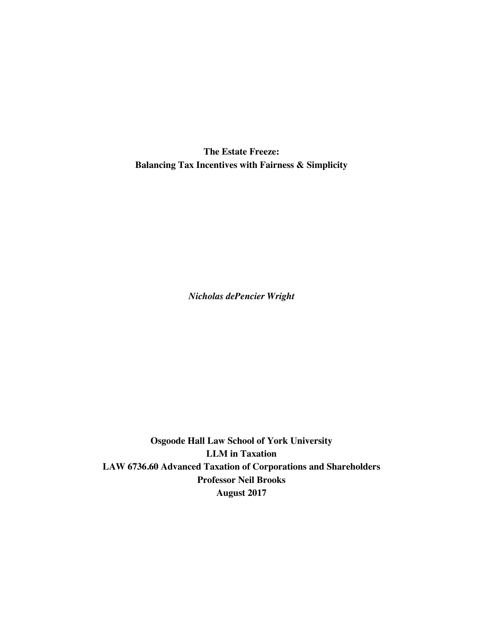**The Estate Freeze: Balancing Tax Incentives with Fairness & Simplicity**

*Nicholas dePencier Wright*

**Osgoode Hall Law School of York University LLM in Taxation LAW 6736.60 Advanced Taxation of Corporations and Shareholders Professor Neil Brooks August 2017**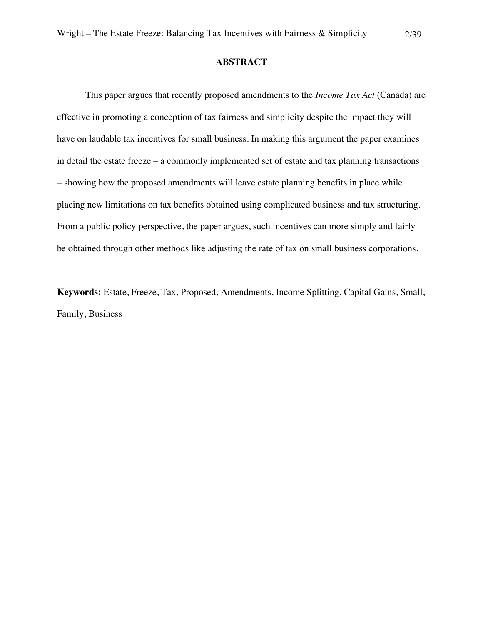## **ABSTRACT**

This paper argues that recently proposed amendments to the *Income Tax Act* (Canada) are effective in promoting a conception of tax fairness and simplicity despite the impact they will have on laudable tax incentives for small business. In making this argument the paper examines in detail the estate freeze – a commonly implemented set of estate and tax planning transactions – showing how the proposed amendments will leave estate planning benefits in place while placing new limitations on tax benefits obtained using complicated business and tax structuring. From a public policy perspective, the paper argues, such incentives can more simply and fairly be obtained through other methods like adjusting the rate of tax on small business corporations.

**Keywords:** Estate, Freeze, Tax, Proposed, Amendments, Income Splitting, Capital Gains, Small, Family, Business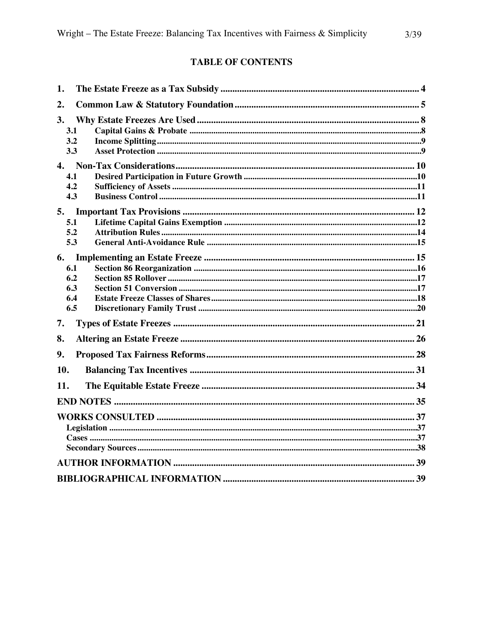# **TABLE OF CONTENTS**

| 1.                                    |  |  |  |
|---------------------------------------|--|--|--|
| 2.                                    |  |  |  |
| 3.<br>3.1<br>3.2<br>3.3               |  |  |  |
|                                       |  |  |  |
| 4.1<br>4.2<br>4.3                     |  |  |  |
| 5.1<br>5.2<br>5.3                     |  |  |  |
| 6.<br>6.1<br>6.2<br>6.3<br>6.4<br>6.5 |  |  |  |
| 7.                                    |  |  |  |
| 8.                                    |  |  |  |
| 9.                                    |  |  |  |
| 10.                                   |  |  |  |
| 11.                                   |  |  |  |
|                                       |  |  |  |
|                                       |  |  |  |
|                                       |  |  |  |
|                                       |  |  |  |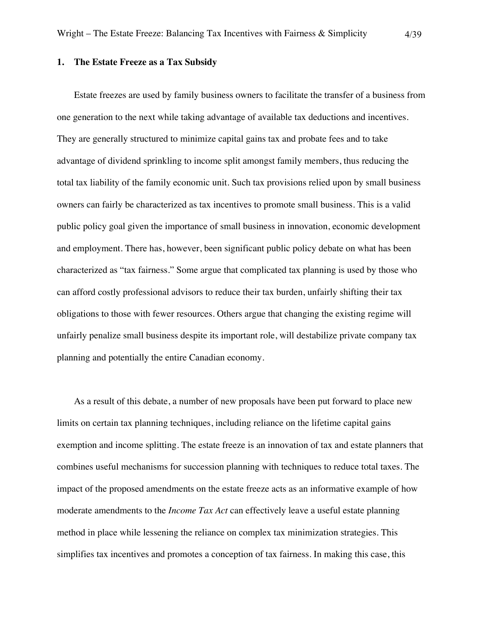#### **1. The Estate Freeze as a Tax Subsidy**

Estate freezes are used by family business owners to facilitate the transfer of a business from one generation to the next while taking advantage of available tax deductions and incentives. They are generally structured to minimize capital gains tax and probate fees and to take advantage of dividend sprinkling to income split amongst family members, thus reducing the total tax liability of the family economic unit. Such tax provisions relied upon by small business owners can fairly be characterized as tax incentives to promote small business. This is a valid public policy goal given the importance of small business in innovation, economic development and employment. There has, however, been significant public policy debate on what has been characterized as "tax fairness." Some argue that complicated tax planning is used by those who can afford costly professional advisors to reduce their tax burden, unfairly shifting their tax obligations to those with fewer resources. Others argue that changing the existing regime will unfairly penalize small business despite its important role, will destabilize private company tax planning and potentially the entire Canadian economy.

As a result of this debate, a number of new proposals have been put forward to place new limits on certain tax planning techniques, including reliance on the lifetime capital gains exemption and income splitting. The estate freeze is an innovation of tax and estate planners that combines useful mechanisms for succession planning with techniques to reduce total taxes. The impact of the proposed amendments on the estate freeze acts as an informative example of how moderate amendments to the *Income Tax Act* can effectively leave a useful estate planning method in place while lessening the reliance on complex tax minimization strategies. This simplifies tax incentives and promotes a conception of tax fairness. In making this case, this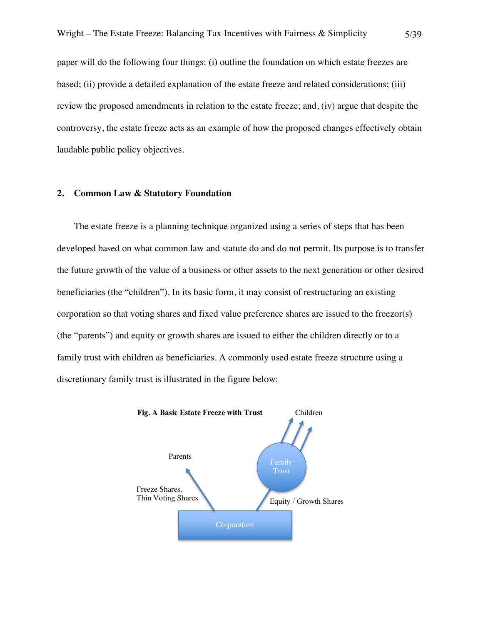paper will do the following four things: (i) outline the foundation on which estate freezes are based; (ii) provide a detailed explanation of the estate freeze and related considerations; (iii) review the proposed amendments in relation to the estate freeze; and, (iv) argue that despite the controversy, the estate freeze acts as an example of how the proposed changes effectively obtain laudable public policy objectives.

### **2. Common Law & Statutory Foundation**

The estate freeze is a planning technique organized using a series of steps that has been developed based on what common law and statute do and do not permit. Its purpose is to transfer the future growth of the value of a business or other assets to the next generation or other desired beneficiaries (the "children"). In its basic form, it may consist of restructuring an existing corporation so that voting shares and fixed value preference shares are issued to the freezor(s) (the "parents") and equity or growth shares are issued to either the children directly or to a family trust with children as beneficiaries. A commonly used estate freeze structure using a discretionary family trust is illustrated in the figure below:

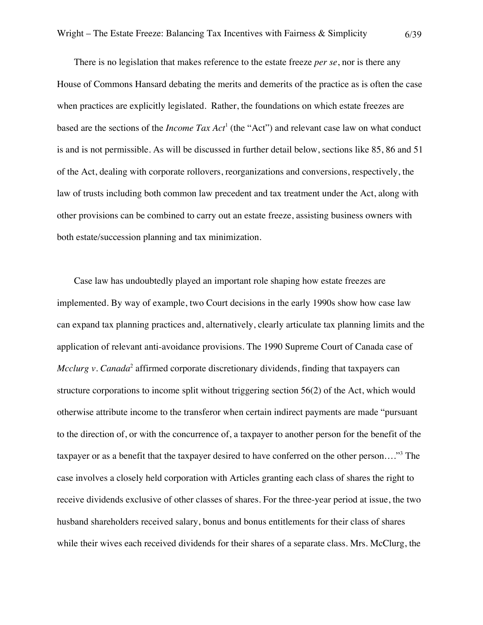There is no legislation that makes reference to the estate freeze *per se*, nor is there any House of Commons Hansard debating the merits and demerits of the practice as is often the case when practices are explicitly legislated. Rather, the foundations on which estate freezes are based are the sections of the *Income Tax Act*<sup>1</sup> (the "Act") and relevant case law on what conduct is and is not permissible. As will be discussed in further detail below, sections like 85, 86 and 51 of the Act, dealing with corporate rollovers, reorganizations and conversions, respectively, the law of trusts including both common law precedent and tax treatment under the Act, along with other provisions can be combined to carry out an estate freeze, assisting business owners with both estate/succession planning and tax minimization.

Case law has undoubtedly played an important role shaping how estate freezes are implemented. By way of example, two Court decisions in the early 1990s show how case law can expand tax planning practices and, alternatively, clearly articulate tax planning limits and the application of relevant anti-avoidance provisions. The 1990 Supreme Court of Canada case of *Mcclurg v. Canada*<sup>2</sup> affirmed corporate discretionary dividends, finding that taxpayers can structure corporations to income split without triggering section 56(2) of the Act, which would otherwise attribute income to the transferor when certain indirect payments are made "pursuant to the direction of, or with the concurrence of, a taxpayer to another person for the benefit of the taxpayer or as a benefit that the taxpayer desired to have conferred on the other person…."3 The case involves a closely held corporation with Articles granting each class of shares the right to receive dividends exclusive of other classes of shares. For the three-year period at issue, the two husband shareholders received salary, bonus and bonus entitlements for their class of shares while their wives each received dividends for their shares of a separate class. Mrs. McClurg, the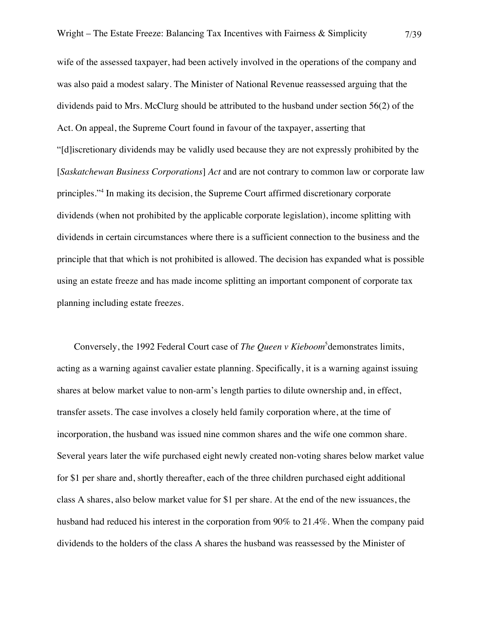wife of the assessed taxpayer, had been actively involved in the operations of the company and was also paid a modest salary. The Minister of National Revenue reassessed arguing that the dividends paid to Mrs. McClurg should be attributed to the husband under section 56(2) of the Act. On appeal, the Supreme Court found in favour of the taxpayer, asserting that "[d]iscretionary dividends may be validly used because they are not expressly prohibited by the [*Saskatchewan Business Corporations*] *Act* and are not contrary to common law or corporate law principles."<sup>4</sup> In making its decision, the Supreme Court affirmed discretionary corporate dividends (when not prohibited by the applicable corporate legislation), income splitting with dividends in certain circumstances where there is a sufficient connection to the business and the principle that that which is not prohibited is allowed. The decision has expanded what is possible using an estate freeze and has made income splitting an important component of corporate tax

planning including estate freezes.

Conversely, the 1992 Federal Court case of *The Queen v Kieboom*<sup>5</sup>demonstrates limits, acting as a warning against cavalier estate planning. Specifically, it is a warning against issuing shares at below market value to non-arm's length parties to dilute ownership and, in effect, transfer assets. The case involves a closely held family corporation where, at the time of incorporation, the husband was issued nine common shares and the wife one common share. Several years later the wife purchased eight newly created non-voting shares below market value for \$1 per share and, shortly thereafter, each of the three children purchased eight additional class A shares, also below market value for \$1 per share. At the end of the new issuances, the husband had reduced his interest in the corporation from 90% to 21.4%. When the company paid dividends to the holders of the class A shares the husband was reassessed by the Minister of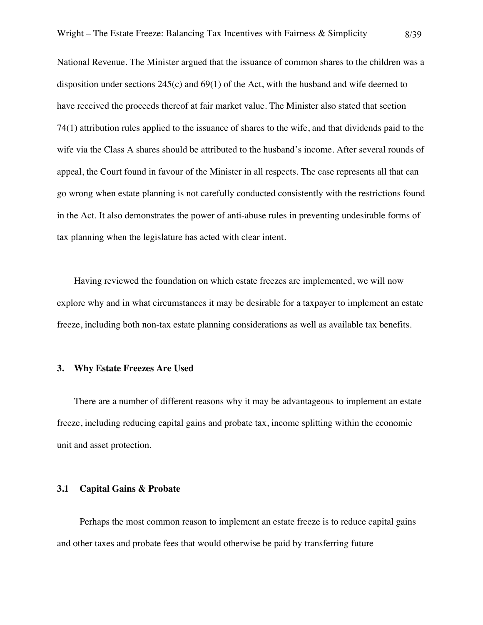National Revenue. The Minister argued that the issuance of common shares to the children was a disposition under sections  $245(c)$  and  $69(1)$  of the Act, with the husband and wife deemed to have received the proceeds thereof at fair market value. The Minister also stated that section 74(1) attribution rules applied to the issuance of shares to the wife, and that dividends paid to the wife via the Class A shares should be attributed to the husband's income. After several rounds of appeal, the Court found in favour of the Minister in all respects. The case represents all that can go wrong when estate planning is not carefully conducted consistently with the restrictions found in the Act. It also demonstrates the power of anti-abuse rules in preventing undesirable forms of tax planning when the legislature has acted with clear intent.

Having reviewed the foundation on which estate freezes are implemented, we will now explore why and in what circumstances it may be desirable for a taxpayer to implement an estate freeze, including both non-tax estate planning considerations as well as available tax benefits.

## **3. Why Estate Freezes Are Used**

There are a number of different reasons why it may be advantageous to implement an estate freeze, including reducing capital gains and probate tax, income splitting within the economic unit and asset protection.

## **3.1 Capital Gains & Probate**

Perhaps the most common reason to implement an estate freeze is to reduce capital gains and other taxes and probate fees that would otherwise be paid by transferring future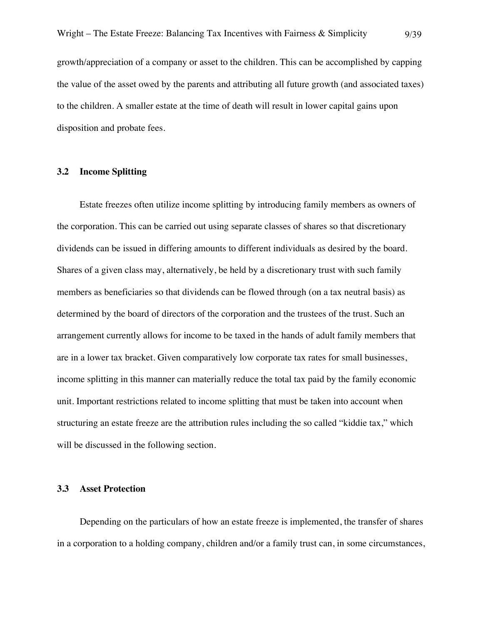growth/appreciation of a company or asset to the children. This can be accomplished by capping the value of the asset owed by the parents and attributing all future growth (and associated taxes) to the children. A smaller estate at the time of death will result in lower capital gains upon disposition and probate fees.

## **3.2 Income Splitting**

Estate freezes often utilize income splitting by introducing family members as owners of the corporation. This can be carried out using separate classes of shares so that discretionary dividends can be issued in differing amounts to different individuals as desired by the board. Shares of a given class may, alternatively, be held by a discretionary trust with such family members as beneficiaries so that dividends can be flowed through (on a tax neutral basis) as determined by the board of directors of the corporation and the trustees of the trust. Such an arrangement currently allows for income to be taxed in the hands of adult family members that are in a lower tax bracket. Given comparatively low corporate tax rates for small businesses, income splitting in this manner can materially reduce the total tax paid by the family economic unit. Important restrictions related to income splitting that must be taken into account when structuring an estate freeze are the attribution rules including the so called "kiddie tax," which will be discussed in the following section.

## **3.3 Asset Protection**

Depending on the particulars of how an estate freeze is implemented, the transfer of shares in a corporation to a holding company, children and/or a family trust can, in some circumstances,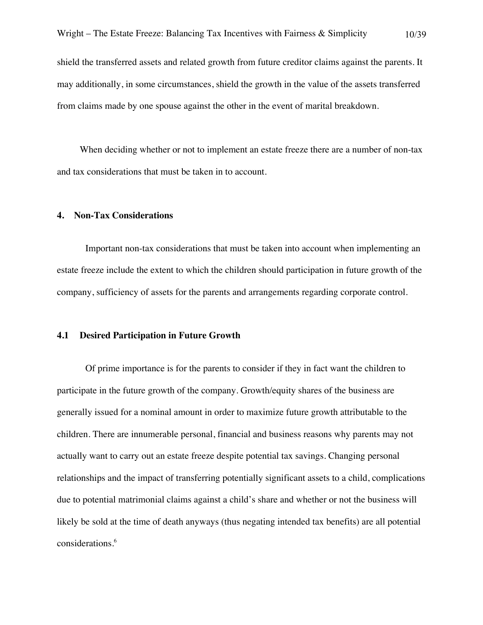shield the transferred assets and related growth from future creditor claims against the parents. It may additionally, in some circumstances, shield the growth in the value of the assets transferred from claims made by one spouse against the other in the event of marital breakdown.

When deciding whether or not to implement an estate freeze there are a number of non-tax and tax considerations that must be taken in to account.

### **4. Non-Tax Considerations**

Important non-tax considerations that must be taken into account when implementing an estate freeze include the extent to which the children should participation in future growth of the company, sufficiency of assets for the parents and arrangements regarding corporate control.

#### **4.1 Desired Participation in Future Growth**

Of prime importance is for the parents to consider if they in fact want the children to participate in the future growth of the company. Growth/equity shares of the business are generally issued for a nominal amount in order to maximize future growth attributable to the children. There are innumerable personal, financial and business reasons why parents may not actually want to carry out an estate freeze despite potential tax savings. Changing personal relationships and the impact of transferring potentially significant assets to a child, complications due to potential matrimonial claims against a child's share and whether or not the business will likely be sold at the time of death anyways (thus negating intended tax benefits) are all potential considerations. 6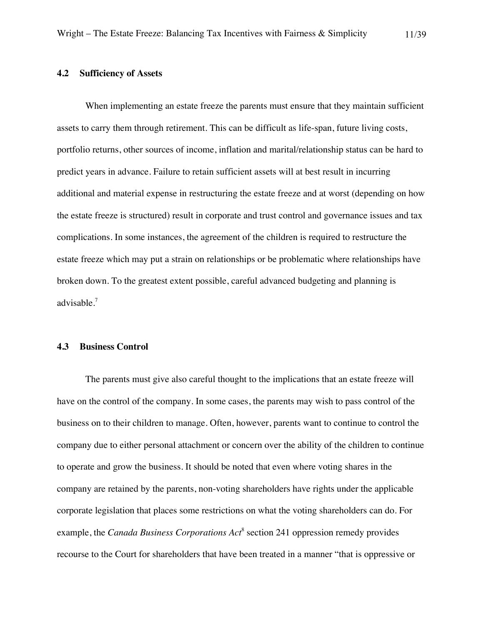## **4.2 Sufficiency of Assets**

When implementing an estate freeze the parents must ensure that they maintain sufficient assets to carry them through retirement. This can be difficult as life-span, future living costs, portfolio returns, other sources of income, inflation and marital/relationship status can be hard to predict years in advance. Failure to retain sufficient assets will at best result in incurring additional and material expense in restructuring the estate freeze and at worst (depending on how the estate freeze is structured) result in corporate and trust control and governance issues and tax complications. In some instances, the agreement of the children is required to restructure the estate freeze which may put a strain on relationships or be problematic where relationships have broken down. To the greatest extent possible, careful advanced budgeting and planning is advisable. 7

#### **4.3 Business Control**

The parents must give also careful thought to the implications that an estate freeze will have on the control of the company. In some cases, the parents may wish to pass control of the business on to their children to manage. Often, however, parents want to continue to control the company due to either personal attachment or concern over the ability of the children to continue to operate and grow the business. It should be noted that even where voting shares in the company are retained by the parents, non-voting shareholders have rights under the applicable corporate legislation that places some restrictions on what the voting shareholders can do. For example, the *Canada Business Corporations Act*<sup>8</sup> section 241 oppression remedy provides recourse to the Court for shareholders that have been treated in a manner "that is oppressive or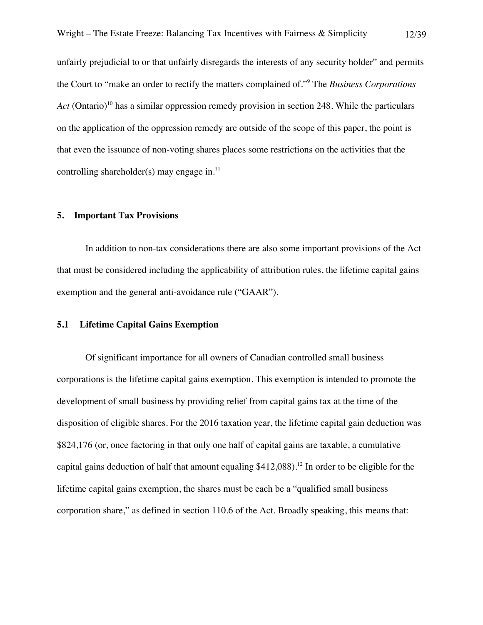unfairly prejudicial to or that unfairly disregards the interests of any security holder" and permits the Court to "make an order to rectify the matters complained of."<sup>9</sup> The *Business Corporations Act* (Ontario)<sup>10</sup> has a similar oppression remedy provision in section 248. While the particulars on the application of the oppression remedy are outside of the scope of this paper, the point is that even the issuance of non-voting shares places some restrictions on the activities that the controlling shareholder(s) may engage in. $^{11}$ 

## **5. Important Tax Provisions**

In addition to non-tax considerations there are also some important provisions of the Act that must be considered including the applicability of attribution rules, the lifetime capital gains exemption and the general anti-avoidance rule ("GAAR").

## **5.1 Lifetime Capital Gains Exemption**

Of significant importance for all owners of Canadian controlled small business corporations is the lifetime capital gains exemption. This exemption is intended to promote the development of small business by providing relief from capital gains tax at the time of the disposition of eligible shares. For the 2016 taxation year, the lifetime capital gain deduction was \$824,176 (or, once factoring in that only one half of capital gains are taxable, a cumulative capital gains deduction of half that amount equaling  $$412,088$ ).<sup>12</sup> In order to be eligible for the lifetime capital gains exemption, the shares must be each be a "qualified small business corporation share," as defined in section 110.6 of the Act. Broadly speaking, this means that: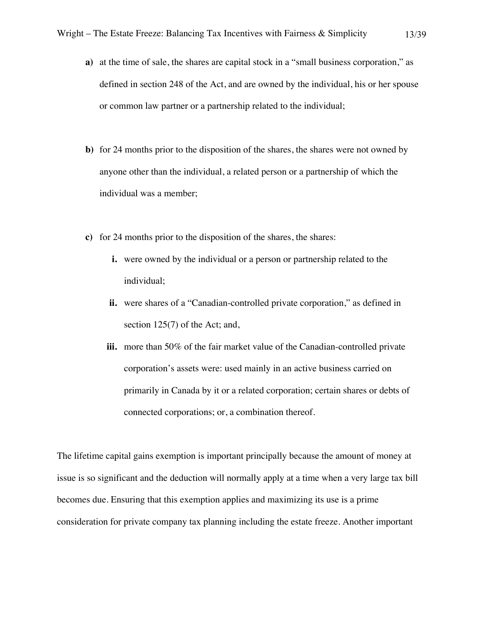- **a)** at the time of sale, the shares are capital stock in a "small business corporation," as defined in section 248 of the Act, and are owned by the individual, his or her spouse or common law partner or a partnership related to the individual;
- **b)** for 24 months prior to the disposition of the shares, the shares were not owned by anyone other than the individual, a related person or a partnership of which the individual was a member;
- **c)** for 24 months prior to the disposition of the shares, the shares:
	- **i.** were owned by the individual or a person or partnership related to the individual;
	- **ii.** were shares of a "Canadian-controlled private corporation," as defined in section 125(7) of the Act; and,
	- **iii.** more than 50% of the fair market value of the Canadian-controlled private corporation's assets were: used mainly in an active business carried on primarily in Canada by it or a related corporation; certain shares or debts of connected corporations; or, a combination thereof.

The lifetime capital gains exemption is important principally because the amount of money at issue is so significant and the deduction will normally apply at a time when a very large tax bill becomes due. Ensuring that this exemption applies and maximizing its use is a prime consideration for private company tax planning including the estate freeze. Another important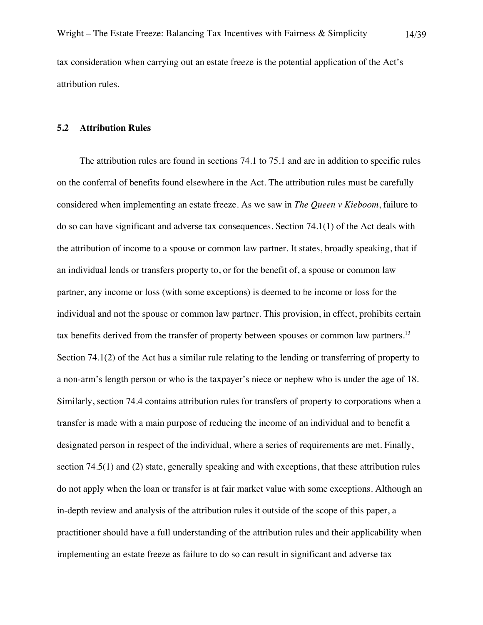#### **5.2 Attribution Rules**

attribution rules.

The attribution rules are found in sections 74.1 to 75.1 and are in addition to specific rules on the conferral of benefits found elsewhere in the Act. The attribution rules must be carefully considered when implementing an estate freeze. As we saw in *The Queen v Kieboom*, failure to do so can have significant and adverse tax consequences. Section 74.1(1) of the Act deals with the attribution of income to a spouse or common law partner. It states, broadly speaking, that if an individual lends or transfers property to, or for the benefit of, a spouse or common law partner, any income or loss (with some exceptions) is deemed to be income or loss for the individual and not the spouse or common law partner. This provision, in effect, prohibits certain tax benefits derived from the transfer of property between spouses or common law partners.<sup>13</sup> Section 74.1(2) of the Act has a similar rule relating to the lending or transferring of property to a non-arm's length person or who is the taxpayer's niece or nephew who is under the age of 18. Similarly, section 74.4 contains attribution rules for transfers of property to corporations when a transfer is made with a main purpose of reducing the income of an individual and to benefit a designated person in respect of the individual, where a series of requirements are met. Finally, section 74.5(1) and (2) state, generally speaking and with exceptions, that these attribution rules do not apply when the loan or transfer is at fair market value with some exceptions. Although an in-depth review and analysis of the attribution rules it outside of the scope of this paper, a practitioner should have a full understanding of the attribution rules and their applicability when implementing an estate freeze as failure to do so can result in significant and adverse tax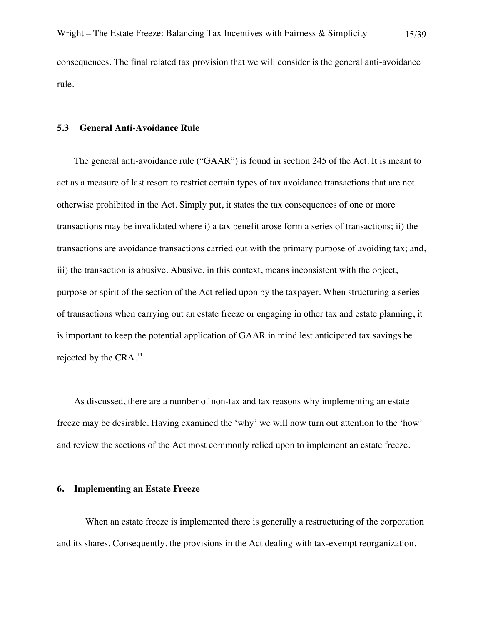rule.

#### **5.3 General Anti-Avoidance Rule**

The general anti-avoidance rule ("GAAR") is found in section 245 of the Act. It is meant to act as a measure of last resort to restrict certain types of tax avoidance transactions that are not otherwise prohibited in the Act. Simply put, it states the tax consequences of one or more transactions may be invalidated where i) a tax benefit arose form a series of transactions; ii) the transactions are avoidance transactions carried out with the primary purpose of avoiding tax; and, iii) the transaction is abusive. Abusive, in this context, means inconsistent with the object, purpose or spirit of the section of the Act relied upon by the taxpayer. When structuring a series of transactions when carrying out an estate freeze or engaging in other tax and estate planning, it is important to keep the potential application of GAAR in mind lest anticipated tax savings be rejected by the CRA.<sup>14</sup>

As discussed, there are a number of non-tax and tax reasons why implementing an estate freeze may be desirable. Having examined the 'why' we will now turn out attention to the 'how' and review the sections of the Act most commonly relied upon to implement an estate freeze.

#### **6. Implementing an Estate Freeze**

When an estate freeze is implemented there is generally a restructuring of the corporation and its shares. Consequently, the provisions in the Act dealing with tax-exempt reorganization,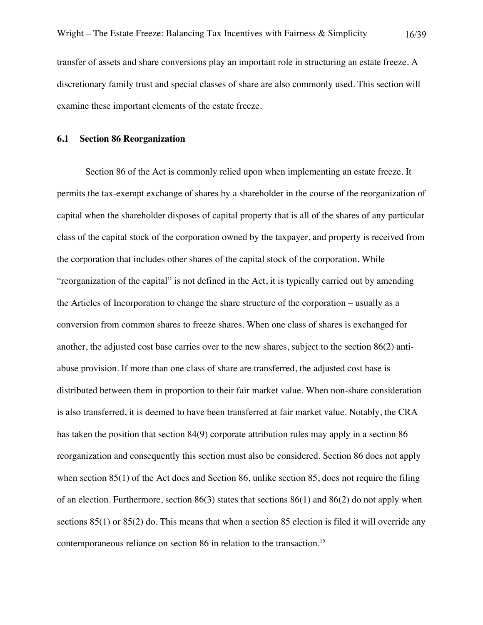transfer of assets and share conversions play an important role in structuring an estate freeze. A discretionary family trust and special classes of share are also commonly used. This section will examine these important elements of the estate freeze.

## **6.1 Section 86 Reorganization**

Section 86 of the Act is commonly relied upon when implementing an estate freeze. It permits the tax-exempt exchange of shares by a shareholder in the course of the reorganization of capital when the shareholder disposes of capital property that is all of the shares of any particular class of the capital stock of the corporation owned by the taxpayer, and property is received from the corporation that includes other shares of the capital stock of the corporation. While "reorganization of the capital" is not defined in the Act, it is typically carried out by amending the Articles of Incorporation to change the share structure of the corporation – usually as a conversion from common shares to freeze shares. When one class of shares is exchanged for another, the adjusted cost base carries over to the new shares, subject to the section 86(2) antiabuse provision. If more than one class of share are transferred, the adjusted cost base is distributed between them in proportion to their fair market value. When non-share consideration is also transferred, it is deemed to have been transferred at fair market value. Notably, the CRA has taken the position that section 84(9) corporate attribution rules may apply in a section 86 reorganization and consequently this section must also be considered. Section 86 does not apply when section 85(1) of the Act does and Section 86, unlike section 85, does not require the filing of an election. Furthermore, section  $86(3)$  states that sections  $86(1)$  and  $86(2)$  do not apply when sections 85(1) or 85(2) do. This means that when a section 85 election is filed it will override any contemporaneous reliance on section 86 in relation to the transaction.<sup>15</sup>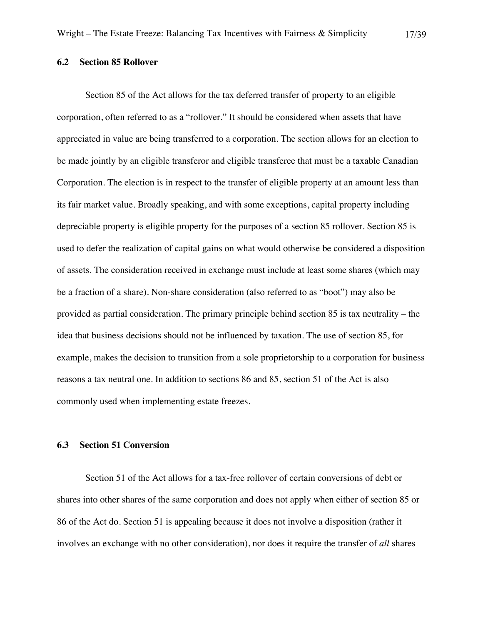## **6.2 Section 85 Rollover**

Section 85 of the Act allows for the tax deferred transfer of property to an eligible corporation, often referred to as a "rollover." It should be considered when assets that have appreciated in value are being transferred to a corporation. The section allows for an election to be made jointly by an eligible transferor and eligible transferee that must be a taxable Canadian Corporation. The election is in respect to the transfer of eligible property at an amount less than its fair market value. Broadly speaking, and with some exceptions, capital property including depreciable property is eligible property for the purposes of a section 85 rollover. Section 85 is used to defer the realization of capital gains on what would otherwise be considered a disposition of assets. The consideration received in exchange must include at least some shares (which may be a fraction of a share). Non-share consideration (also referred to as "boot") may also be provided as partial consideration. The primary principle behind section 85 is tax neutrality – the idea that business decisions should not be influenced by taxation. The use of section 85, for example, makes the decision to transition from a sole proprietorship to a corporation for business reasons a tax neutral one. In addition to sections 86 and 85, section 51 of the Act is also commonly used when implementing estate freezes.

## **6.3 Section 51 Conversion**

Section 51 of the Act allows for a tax-free rollover of certain conversions of debt or shares into other shares of the same corporation and does not apply when either of section 85 or 86 of the Act do. Section 51 is appealing because it does not involve a disposition (rather it involves an exchange with no other consideration), nor does it require the transfer of *all* shares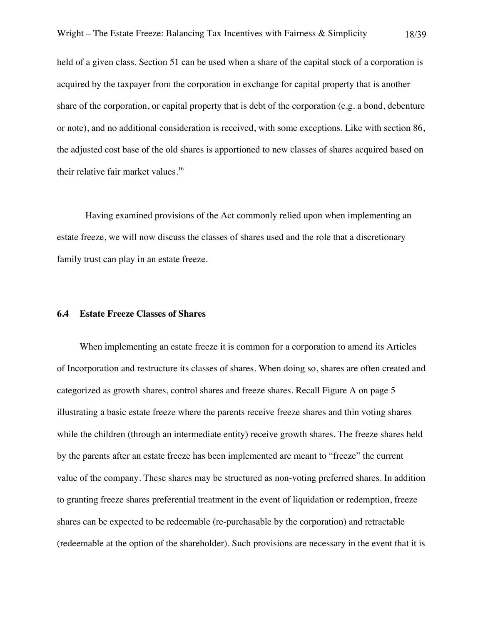held of a given class. Section 51 can be used when a share of the capital stock of a corporation is acquired by the taxpayer from the corporation in exchange for capital property that is another share of the corporation, or capital property that is debt of the corporation (e.g. a bond, debenture or note), and no additional consideration is received, with some exceptions. Like with section 86, the adjusted cost base of the old shares is apportioned to new classes of shares acquired based on their relative fair market values.<sup>16</sup>

Having examined provisions of the Act commonly relied upon when implementing an estate freeze, we will now discuss the classes of shares used and the role that a discretionary family trust can play in an estate freeze.

## **6.4 Estate Freeze Classes of Shares**

When implementing an estate freeze it is common for a corporation to amend its Articles of Incorporation and restructure its classes of shares. When doing so, shares are often created and categorized as growth shares, control shares and freeze shares. Recall Figure A on page 5 illustrating a basic estate freeze where the parents receive freeze shares and thin voting shares while the children (through an intermediate entity) receive growth shares. The freeze shares held by the parents after an estate freeze has been implemented are meant to "freeze" the current value of the company. These shares may be structured as non-voting preferred shares. In addition to granting freeze shares preferential treatment in the event of liquidation or redemption, freeze shares can be expected to be redeemable (re-purchasable by the corporation) and retractable (redeemable at the option of the shareholder). Such provisions are necessary in the event that it is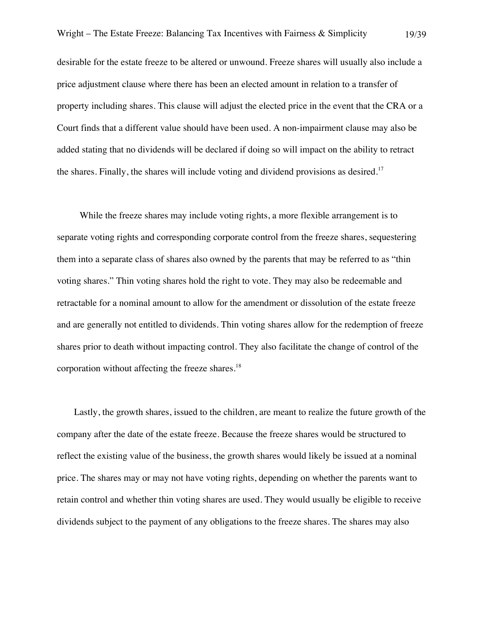desirable for the estate freeze to be altered or unwound. Freeze shares will usually also include a price adjustment clause where there has been an elected amount in relation to a transfer of property including shares. This clause will adjust the elected price in the event that the CRA or a Court finds that a different value should have been used. A non-impairment clause may also be added stating that no dividends will be declared if doing so will impact on the ability to retract the shares. Finally, the shares will include voting and dividend provisions as desired.<sup>17</sup>

While the freeze shares may include voting rights, a more flexible arrangement is to separate voting rights and corresponding corporate control from the freeze shares, sequestering them into a separate class of shares also owned by the parents that may be referred to as "thin voting shares." Thin voting shares hold the right to vote. They may also be redeemable and retractable for a nominal amount to allow for the amendment or dissolution of the estate freeze and are generally not entitled to dividends. Thin voting shares allow for the redemption of freeze shares prior to death without impacting control. They also facilitate the change of control of the corporation without affecting the freeze shares. $18$ 

Lastly, the growth shares, issued to the children, are meant to realize the future growth of the company after the date of the estate freeze. Because the freeze shares would be structured to reflect the existing value of the business, the growth shares would likely be issued at a nominal price. The shares may or may not have voting rights, depending on whether the parents want to retain control and whether thin voting shares are used. They would usually be eligible to receive dividends subject to the payment of any obligations to the freeze shares. The shares may also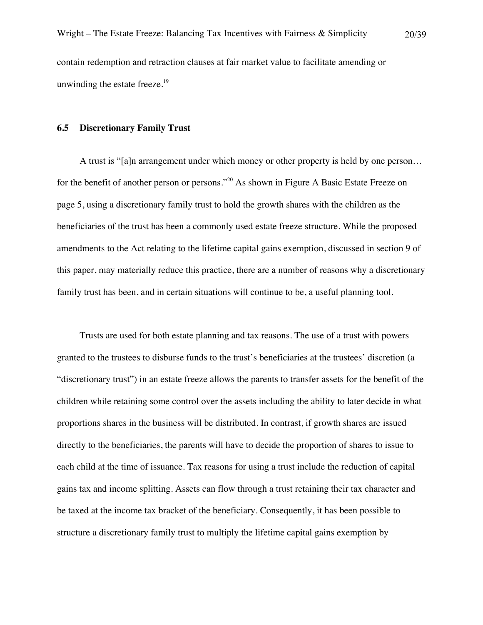#### **6.5 Discretionary Family Trust**

A trust is "[a]n arrangement under which money or other property is held by one person… for the benefit of another person or persons."<sup>20</sup> As shown in Figure A Basic Estate Freeze on page 5, using a discretionary family trust to hold the growth shares with the children as the beneficiaries of the trust has been a commonly used estate freeze structure. While the proposed amendments to the Act relating to the lifetime capital gains exemption, discussed in section 9 of this paper, may materially reduce this practice, there are a number of reasons why a discretionary family trust has been, and in certain situations will continue to be, a useful planning tool.

Trusts are used for both estate planning and tax reasons. The use of a trust with powers granted to the trustees to disburse funds to the trust's beneficiaries at the trustees' discretion (a "discretionary trust") in an estate freeze allows the parents to transfer assets for the benefit of the children while retaining some control over the assets including the ability to later decide in what proportions shares in the business will be distributed. In contrast, if growth shares are issued directly to the beneficiaries, the parents will have to decide the proportion of shares to issue to each child at the time of issuance. Tax reasons for using a trust include the reduction of capital gains tax and income splitting. Assets can flow through a trust retaining their tax character and be taxed at the income tax bracket of the beneficiary. Consequently, it has been possible to structure a discretionary family trust to multiply the lifetime capital gains exemption by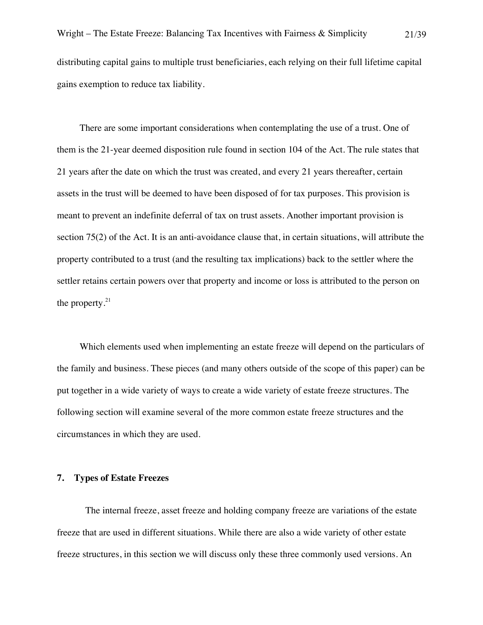There are some important considerations when contemplating the use of a trust. One of them is the 21-year deemed disposition rule found in section 104 of the Act. The rule states that 21 years after the date on which the trust was created, and every 21 years thereafter, certain assets in the trust will be deemed to have been disposed of for tax purposes. This provision is meant to prevent an indefinite deferral of tax on trust assets. Another important provision is section 75(2) of the Act. It is an anti-avoidance clause that, in certain situations, will attribute the property contributed to a trust (and the resulting tax implications) back to the settler where the settler retains certain powers over that property and income or loss is attributed to the person on the property. $21$ 

Which elements used when implementing an estate freeze will depend on the particulars of the family and business. These pieces (and many others outside of the scope of this paper) can be put together in a wide variety of ways to create a wide variety of estate freeze structures. The following section will examine several of the more common estate freeze structures and the circumstances in which they are used.

## **7. Types of Estate Freezes**

The internal freeze, asset freeze and holding company freeze are variations of the estate freeze that are used in different situations. While there are also a wide variety of other estate freeze structures, in this section we will discuss only these three commonly used versions. An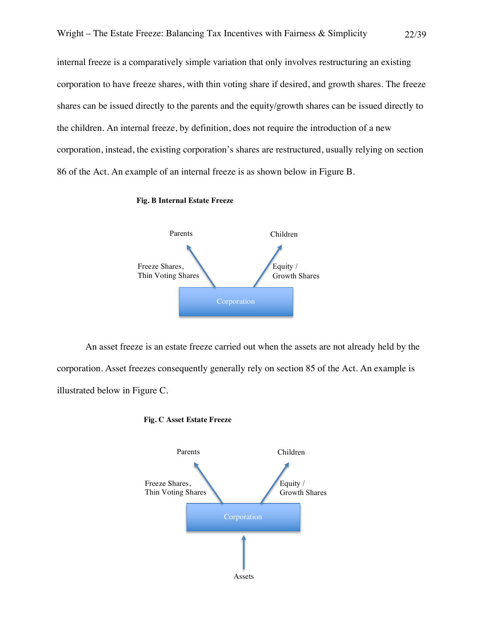internal freeze is a comparatively simple variation that only involves restructuring an existing corporation to have freeze shares, with thin voting share if desired, and growth shares. The freeze shares can be issued directly to the parents and the equity/growth shares can be issued directly to the children. An internal freeze, by definition, does not require the introduction of a new corporation, instead, the existing corporation's shares are restructured, usually relying on section 86 of the Act. An example of an internal freeze is as shown below in Figure B.

#### **Fig. B Internal Estate Freeze**



An asset freeze is an estate freeze carried out when the assets are not already held by the corporation. Asset freezes consequently generally rely on section 85 of the Act. An example is illustrated below in Figure C.



#### **Fig. C Asset Estate Freeze**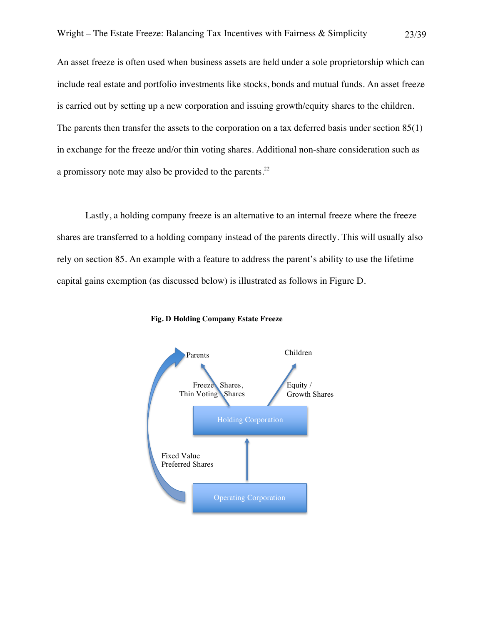An asset freeze is often used when business assets are held under a sole proprietorship which can include real estate and portfolio investments like stocks, bonds and mutual funds. An asset freeze is carried out by setting up a new corporation and issuing growth/equity shares to the children. The parents then transfer the assets to the corporation on a tax deferred basis under section 85(1) in exchange for the freeze and/or thin voting shares. Additional non-share consideration such as a promissory note may also be provided to the parents.<sup>22</sup>

Lastly, a holding company freeze is an alternative to an internal freeze where the freeze shares are transferred to a holding company instead of the parents directly. This will usually also rely on section 85. An example with a feature to address the parent's ability to use the lifetime capital gains exemption (as discussed below) is illustrated as follows in Figure D.



**Fig. D Holding Company Estate Freeze**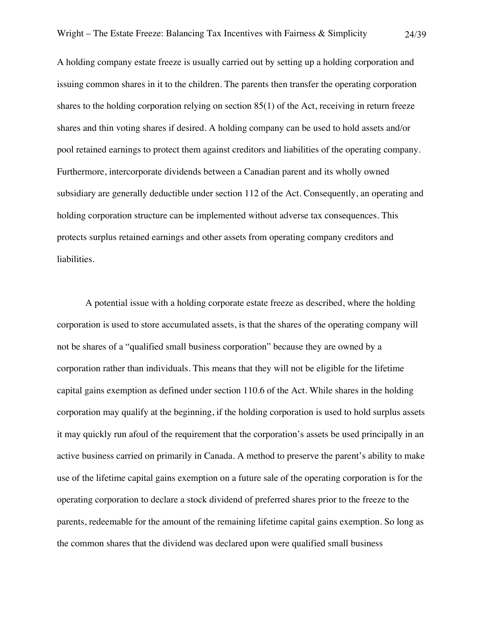A holding company estate freeze is usually carried out by setting up a holding corporation and issuing common shares in it to the children. The parents then transfer the operating corporation shares to the holding corporation relying on section 85(1) of the Act, receiving in return freeze shares and thin voting shares if desired. A holding company can be used to hold assets and/or pool retained earnings to protect them against creditors and liabilities of the operating company. Furthermore, intercorporate dividends between a Canadian parent and its wholly owned subsidiary are generally deductible under section 112 of the Act. Consequently, an operating and holding corporation structure can be implemented without adverse tax consequences. This protects surplus retained earnings and other assets from operating company creditors and liabilities.

A potential issue with a holding corporate estate freeze as described, where the holding corporation is used to store accumulated assets, is that the shares of the operating company will not be shares of a "qualified small business corporation" because they are owned by a corporation rather than individuals. This means that they will not be eligible for the lifetime capital gains exemption as defined under section 110.6 of the Act. While shares in the holding corporation may qualify at the beginning, if the holding corporation is used to hold surplus assets it may quickly run afoul of the requirement that the corporation's assets be used principally in an active business carried on primarily in Canada. A method to preserve the parent's ability to make use of the lifetime capital gains exemption on a future sale of the operating corporation is for the operating corporation to declare a stock dividend of preferred shares prior to the freeze to the parents, redeemable for the amount of the remaining lifetime capital gains exemption. So long as the common shares that the dividend was declared upon were qualified small business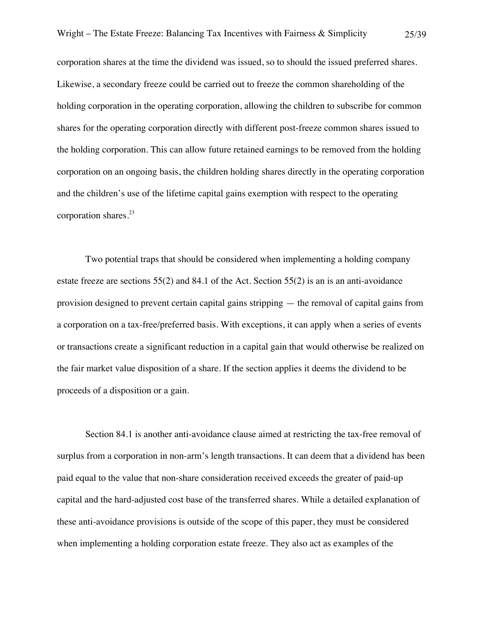corporation shares at the time the dividend was issued, so to should the issued preferred shares. Likewise, a secondary freeze could be carried out to freeze the common shareholding of the holding corporation in the operating corporation, allowing the children to subscribe for common shares for the operating corporation directly with different post-freeze common shares issued to the holding corporation. This can allow future retained earnings to be removed from the holding corporation on an ongoing basis, the children holding shares directly in the operating corporation and the children's use of the lifetime capital gains exemption with respect to the operating corporation shares. 23

Two potential traps that should be considered when implementing a holding company estate freeze are sections 55(2) and 84.1 of the Act. Section 55(2) is an is an anti-avoidance provision designed to prevent certain capital gains stripping — the removal of capital gains from a corporation on a tax-free/preferred basis. With exceptions, it can apply when a series of events or transactions create a significant reduction in a capital gain that would otherwise be realized on the fair market value disposition of a share. If the section applies it deems the dividend to be proceeds of a disposition or a gain.

Section 84.1 is another anti-avoidance clause aimed at restricting the tax-free removal of surplus from a corporation in non-arm's length transactions. It can deem that a dividend has been paid equal to the value that non-share consideration received exceeds the greater of paid-up capital and the hard-adjusted cost base of the transferred shares. While a detailed explanation of these anti-avoidance provisions is outside of the scope of this paper, they must be considered when implementing a holding corporation estate freeze. They also act as examples of the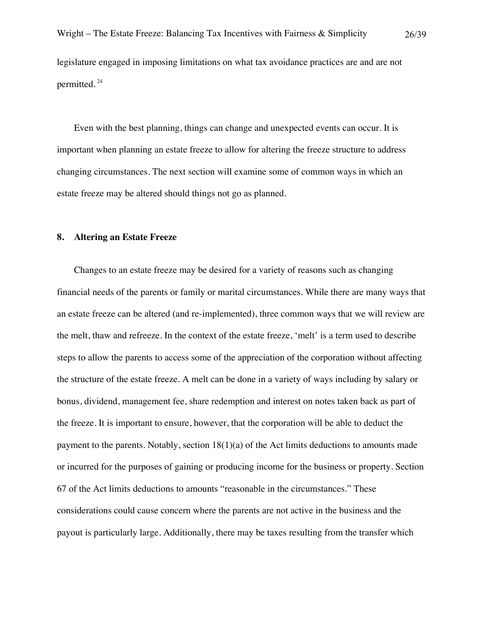legislature engaged in imposing limitations on what tax avoidance practices are and are not permitted. <sup>24</sup>

Even with the best planning, things can change and unexpected events can occur. It is important when planning an estate freeze to allow for altering the freeze structure to address changing circumstances. The next section will examine some of common ways in which an estate freeze may be altered should things not go as planned.

## **8. Altering an Estate Freeze**

Changes to an estate freeze may be desired for a variety of reasons such as changing financial needs of the parents or family or marital circumstances. While there are many ways that an estate freeze can be altered (and re-implemented), three common ways that we will review are the melt, thaw and refreeze. In the context of the estate freeze, 'melt' is a term used to describe steps to allow the parents to access some of the appreciation of the corporation without affecting the structure of the estate freeze. A melt can be done in a variety of ways including by salary or bonus, dividend, management fee, share redemption and interest on notes taken back as part of the freeze. It is important to ensure, however, that the corporation will be able to deduct the payment to the parents. Notably, section  $18(1)(a)$  of the Act limits deductions to amounts made or incurred for the purposes of gaining or producing income for the business or property. Section 67 of the Act limits deductions to amounts "reasonable in the circumstances." These considerations could cause concern where the parents are not active in the business and the payout is particularly large. Additionally, there may be taxes resulting from the transfer which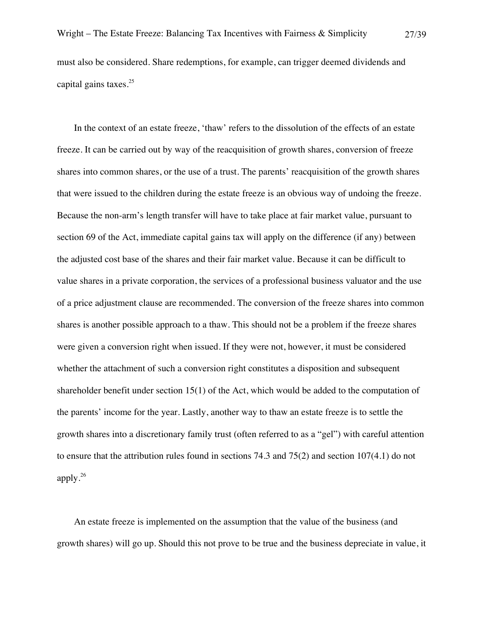must also be considered. Share redemptions, for example, can trigger deemed dividends and capital gains taxes.<sup>25</sup>

In the context of an estate freeze, 'thaw' refers to the dissolution of the effects of an estate freeze. It can be carried out by way of the reacquisition of growth shares, conversion of freeze shares into common shares, or the use of a trust. The parents' reacquisition of the growth shares that were issued to the children during the estate freeze is an obvious way of undoing the freeze. Because the non-arm's length transfer will have to take place at fair market value, pursuant to section 69 of the Act, immediate capital gains tax will apply on the difference (if any) between the adjusted cost base of the shares and their fair market value. Because it can be difficult to value shares in a private corporation, the services of a professional business valuator and the use of a price adjustment clause are recommended. The conversion of the freeze shares into common shares is another possible approach to a thaw. This should not be a problem if the freeze shares were given a conversion right when issued. If they were not, however, it must be considered whether the attachment of such a conversion right constitutes a disposition and subsequent shareholder benefit under section 15(1) of the Act, which would be added to the computation of the parents' income for the year. Lastly, another way to thaw an estate freeze is to settle the growth shares into a discretionary family trust (often referred to as a "gel") with careful attention to ensure that the attribution rules found in sections 74.3 and 75(2) and section 107(4.1) do not apply. 26

An estate freeze is implemented on the assumption that the value of the business (and growth shares) will go up. Should this not prove to be true and the business depreciate in value, it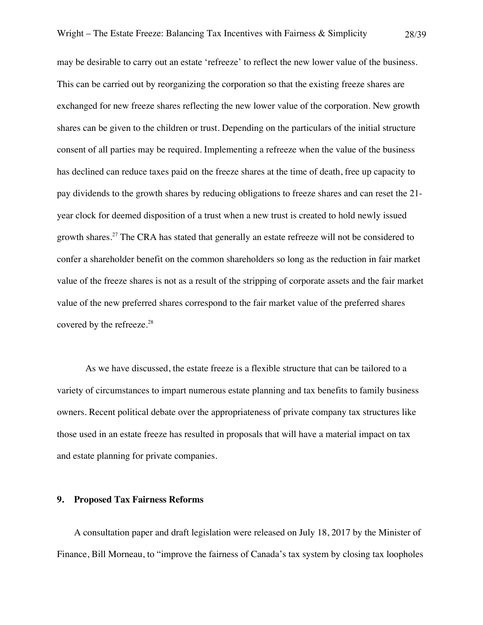may be desirable to carry out an estate 'refreeze' to reflect the new lower value of the business. This can be carried out by reorganizing the corporation so that the existing freeze shares are exchanged for new freeze shares reflecting the new lower value of the corporation. New growth shares can be given to the children or trust. Depending on the particulars of the initial structure consent of all parties may be required. Implementing a refreeze when the value of the business has declined can reduce taxes paid on the freeze shares at the time of death, free up capacity to pay dividends to the growth shares by reducing obligations to freeze shares and can reset the 21 year clock for deemed disposition of a trust when a new trust is created to hold newly issued growth shares.<sup>27</sup> The CRA has stated that generally an estate refreeze will not be considered to confer a shareholder benefit on the common shareholders so long as the reduction in fair market value of the freeze shares is not as a result of the stripping of corporate assets and the fair market value of the new preferred shares correspond to the fair market value of the preferred shares covered by the refreeze.<sup>28</sup>

As we have discussed, the estate freeze is a flexible structure that can be tailored to a variety of circumstances to impart numerous estate planning and tax benefits to family business owners. Recent political debate over the appropriateness of private company tax structures like those used in an estate freeze has resulted in proposals that will have a material impact on tax and estate planning for private companies.

#### **9. Proposed Tax Fairness Reforms**

A consultation paper and draft legislation were released on July 18, 2017 by the Minister of Finance, Bill Morneau, to "improve the fairness of Canada's tax system by closing tax loopholes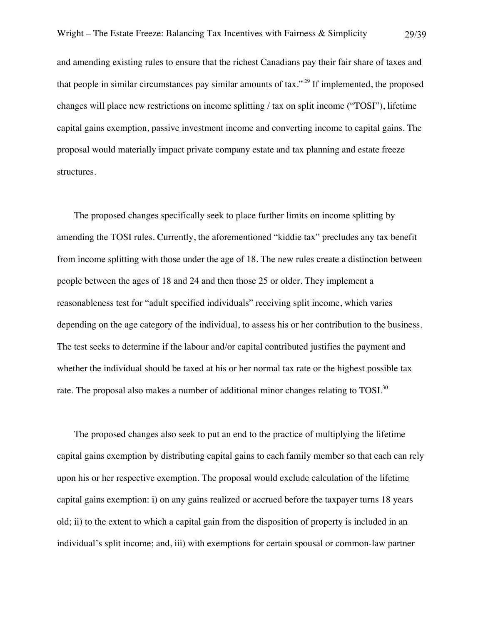and amending existing rules to ensure that the richest Canadians pay their fair share of taxes and that people in similar circumstances pay similar amounts of tax." <sup>29</sup> If implemented, the proposed changes will place new restrictions on income splitting / tax on split income ("TOSI"), lifetime capital gains exemption, passive investment income and converting income to capital gains. The proposal would materially impact private company estate and tax planning and estate freeze structures.

The proposed changes specifically seek to place further limits on income splitting by amending the TOSI rules. Currently, the aforementioned "kiddie tax" precludes any tax benefit from income splitting with those under the age of 18. The new rules create a distinction between people between the ages of 18 and 24 and then those 25 or older. They implement a reasonableness test for "adult specified individuals" receiving split income, which varies depending on the age category of the individual, to assess his or her contribution to the business. The test seeks to determine if the labour and/or capital contributed justifies the payment and whether the individual should be taxed at his or her normal tax rate or the highest possible tax rate. The proposal also makes a number of additional minor changes relating to TOSI. $^{30}$ 

The proposed changes also seek to put an end to the practice of multiplying the lifetime capital gains exemption by distributing capital gains to each family member so that each can rely upon his or her respective exemption. The proposal would exclude calculation of the lifetime capital gains exemption: i) on any gains realized or accrued before the taxpayer turns 18 years old; ii) to the extent to which a capital gain from the disposition of property is included in an individual's split income; and, iii) with exemptions for certain spousal or common-law partner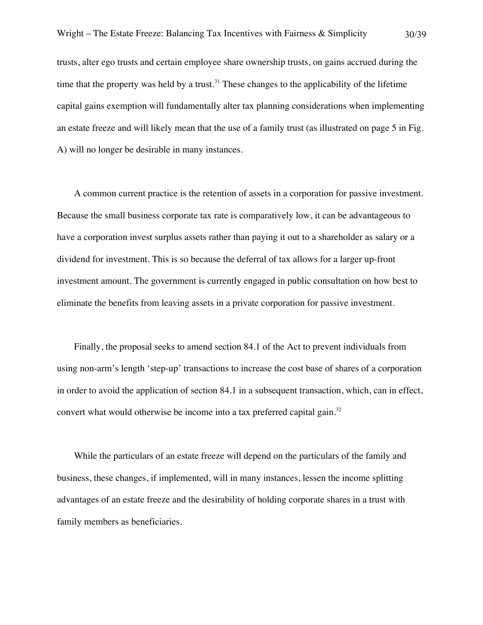trusts, alter ego trusts and certain employee share ownership trusts, on gains accrued during the time that the property was held by a trust.<sup>31</sup> These changes to the applicability of the lifetime capital gains exemption will fundamentally alter tax planning considerations when implementing an estate freeze and will likely mean that the use of a family trust (as illustrated on page 5 in Fig. A) will no longer be desirable in many instances.

A common current practice is the retention of assets in a corporation for passive investment. Because the small business corporate tax rate is comparatively low, it can be advantageous to have a corporation invest surplus assets rather than paying it out to a shareholder as salary or a dividend for investment. This is so because the deferral of tax allows for a larger up-front investment amount. The government is currently engaged in public consultation on how best to eliminate the benefits from leaving assets in a private corporation for passive investment.

Finally, the proposal seeks to amend section 84.1 of the Act to prevent individuals from using non-arm's length 'step-up' transactions to increase the cost base of shares of a corporation in order to avoid the application of section 84.1 in a subsequent transaction, which, can in effect, convert what would otherwise be income into a tax preferred capital gain. $32$ 

While the particulars of an estate freeze will depend on the particulars of the family and business, these changes, if implemented, will in many instances, lessen the income splitting advantages of an estate freeze and the desirability of holding corporate shares in a trust with family members as beneficiaries.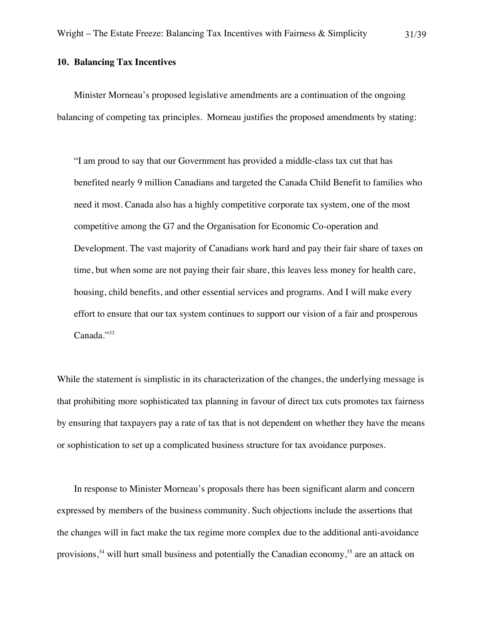## **10. Balancing Tax Incentives**

Minister Morneau's proposed legislative amendments are a continuation of the ongoing balancing of competing tax principles. Morneau justifies the proposed amendments by stating:

"I am proud to say that our Government has provided a middle-class tax cut that has benefited nearly 9 million Canadians and targeted the Canada Child Benefit to families who need it most. Canada also has a highly competitive corporate tax system, one of the most competitive among the G7 and the Organisation for Economic Co-operation and Development. The vast majority of Canadians work hard and pay their fair share of taxes on time, but when some are not paying their fair share, this leaves less money for health care, housing, child benefits, and other essential services and programs. And I will make every effort to ensure that our tax system continues to support our vision of a fair and prosperous Canada."33

While the statement is simplistic in its characterization of the changes, the underlying message is that prohibiting more sophisticated tax planning in favour of direct tax cuts promotes tax fairness by ensuring that taxpayers pay a rate of tax that is not dependent on whether they have the means or sophistication to set up a complicated business structure for tax avoidance purposes.

In response to Minister Morneau's proposals there has been significant alarm and concern expressed by members of the business community. Such objections include the assertions that the changes will in fact make the tax regime more complex due to the additional anti-avoidance provisions,<sup>34</sup> will hurt small business and potentially the Canadian economy,<sup>35</sup> are an attack on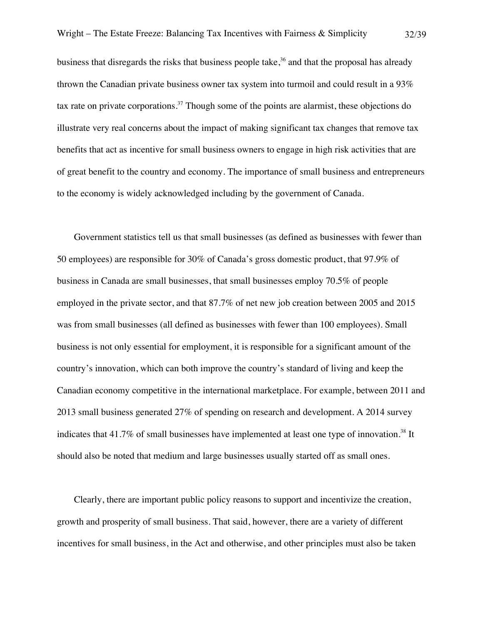business that disregards the risks that business people take,<sup>36</sup> and that the proposal has already thrown the Canadian private business owner tax system into turmoil and could result in a 93% tax rate on private corporations.<sup>37</sup> Though some of the points are alarmist, these objections do illustrate very real concerns about the impact of making significant tax changes that remove tax benefits that act as incentive for small business owners to engage in high risk activities that are of great benefit to the country and economy. The importance of small business and entrepreneurs to the economy is widely acknowledged including by the government of Canada.

Government statistics tell us that small businesses (as defined as businesses with fewer than 50 employees) are responsible for 30% of Canada's gross domestic product, that 97.9% of business in Canada are small businesses, that small businesses employ 70.5% of people employed in the private sector, and that 87.7% of net new job creation between 2005 and 2015 was from small businesses (all defined as businesses with fewer than 100 employees). Small business is not only essential for employment, it is responsible for a significant amount of the country's innovation, which can both improve the country's standard of living and keep the Canadian economy competitive in the international marketplace. For example, between 2011 and 2013 small business generated 27% of spending on research and development. A 2014 survey indicates that  $41.7\%$  of small businesses have implemented at least one type of innovation.<sup>38</sup> It should also be noted that medium and large businesses usually started off as small ones.

Clearly, there are important public policy reasons to support and incentivize the creation, growth and prosperity of small business. That said, however, there are a variety of different incentives for small business, in the Act and otherwise, and other principles must also be taken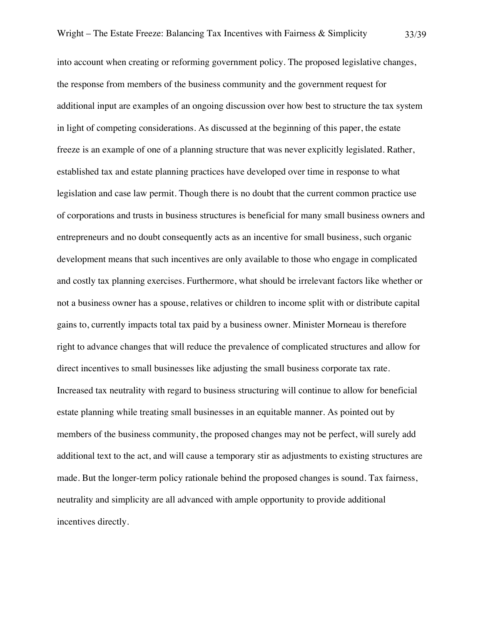into account when creating or reforming government policy. The proposed legislative changes, the response from members of the business community and the government request for additional input are examples of an ongoing discussion over how best to structure the tax system in light of competing considerations. As discussed at the beginning of this paper, the estate freeze is an example of one of a planning structure that was never explicitly legislated. Rather, established tax and estate planning practices have developed over time in response to what legislation and case law permit. Though there is no doubt that the current common practice use of corporations and trusts in business structures is beneficial for many small business owners and entrepreneurs and no doubt consequently acts as an incentive for small business, such organic development means that such incentives are only available to those who engage in complicated and costly tax planning exercises. Furthermore, what should be irrelevant factors like whether or not a business owner has a spouse, relatives or children to income split with or distribute capital gains to, currently impacts total tax paid by a business owner. Minister Morneau is therefore right to advance changes that will reduce the prevalence of complicated structures and allow for direct incentives to small businesses like adjusting the small business corporate tax rate. Increased tax neutrality with regard to business structuring will continue to allow for beneficial estate planning while treating small businesses in an equitable manner. As pointed out by members of the business community, the proposed changes may not be perfect, will surely add additional text to the act, and will cause a temporary stir as adjustments to existing structures are made. But the longer-term policy rationale behind the proposed changes is sound. Tax fairness, neutrality and simplicity are all advanced with ample opportunity to provide additional incentives directly.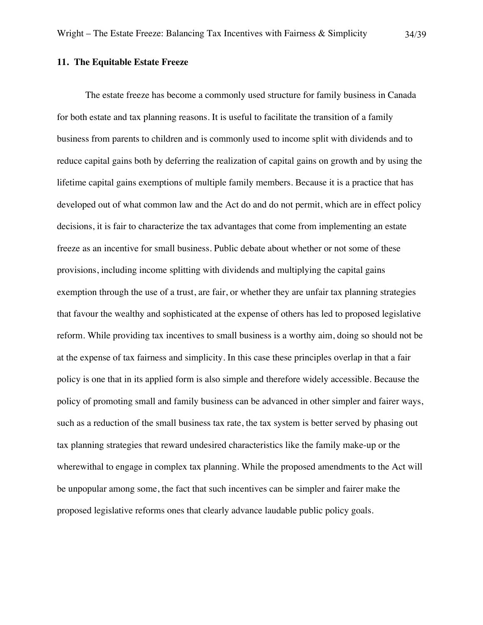The estate freeze has become a commonly used structure for family business in Canada for both estate and tax planning reasons. It is useful to facilitate the transition of a family business from parents to children and is commonly used to income split with dividends and to reduce capital gains both by deferring the realization of capital gains on growth and by using the lifetime capital gains exemptions of multiple family members. Because it is a practice that has developed out of what common law and the Act do and do not permit, which are in effect policy decisions, it is fair to characterize the tax advantages that come from implementing an estate freeze as an incentive for small business. Public debate about whether or not some of these provisions, including income splitting with dividends and multiplying the capital gains exemption through the use of a trust, are fair, or whether they are unfair tax planning strategies that favour the wealthy and sophisticated at the expense of others has led to proposed legislative reform. While providing tax incentives to small business is a worthy aim, doing so should not be at the expense of tax fairness and simplicity. In this case these principles overlap in that a fair policy is one that in its applied form is also simple and therefore widely accessible. Because the policy of promoting small and family business can be advanced in other simpler and fairer ways, such as a reduction of the small business tax rate, the tax system is better served by phasing out tax planning strategies that reward undesired characteristics like the family make-up or the wherewithal to engage in complex tax planning. While the proposed amendments to the Act will be unpopular among some, the fact that such incentives can be simpler and fairer make the proposed legislative reforms ones that clearly advance laudable public policy goals.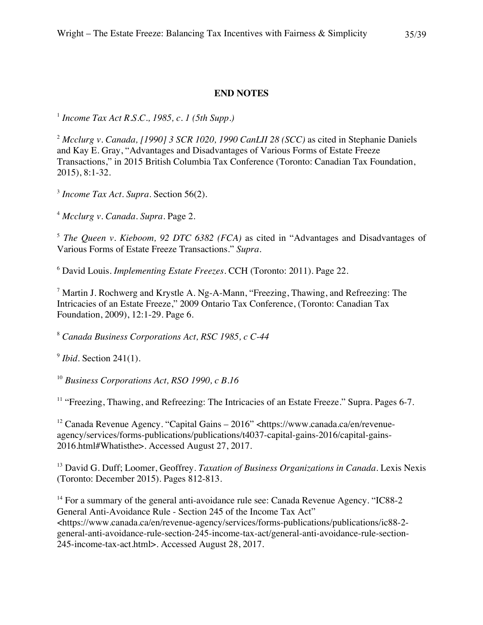## **END NOTES**

<sup>1</sup> *Income Tax Act R.S.C., 1985, c. 1 (5th Supp.)*

<sup>2</sup> *Mcclurg v. Canada, [1990] 3 SCR 1020, 1990 CanLII 28 (SCC)* as cited in Stephanie Daniels and Kay E. Gray, "Advantages and Disadvantages of Various Forms of Estate Freeze Transactions," in 2015 British Columbia Tax Conference (Toronto: Canadian Tax Foundation, 2015), 8:1-32.

<sup>3</sup> *Income Tax Act*. *Supra.* Section 56(2).

<sup>4</sup> *Mcclurg v. Canada*. *Supra*. Page 2.

<sup>5</sup> *The Queen v. Kieboom, 92 DTC 6382 (FCA)* as cited in "Advantages and Disadvantages of Various Forms of Estate Freeze Transactions." *Supra.* 

<sup>6</sup> David Louis. *Implementing Estate Freezes*. CCH (Toronto: 2011). Page 22.

<sup>7</sup> Martin J. Rochwerg and Krystle A. Ng-A-Mann, "Freezing, Thawing, and Refreezing: The Intricacies of an Estate Freeze," 2009 Ontario Tax Conference, (Toronto: Canadian Tax Foundation, 2009), 12:1-29. Page 6.

<sup>8</sup> *Canada Business Corporations Act, RSC 1985, c C-44*

<sup>9</sup> *Ibid*. Section 241(1).

<sup>10</sup> *Business Corporations Act, RSO 1990, c B.16*

<sup>11</sup> "Freezing, Thawing, and Refreezing: The Intricacies of an Estate Freeze." Supra. Pages 6-7.

<sup>12</sup> Canada Revenue Agency. "Capital Gains – 2016" <https://www.canada.ca/en/revenueagency/services/forms-publications/publications/t4037-capital-gains-2016/capital-gains-2016.html#Whatisthe>. Accessed August 27, 2017.

<sup>13</sup> David G. Duff; Loomer, Geoffrey. *Taxation of Business Organizations in Canada*. Lexis Nexis (Toronto: December 2015). Pages 812-813.

<sup>14</sup> For a summary of the general anti-avoidance rule see: Canada Revenue Agency. "IC88-2" General Anti-Avoidance Rule - Section 245 of the Income Tax Act" <https://www.canada.ca/en/revenue-agency/services/forms-publications/publications/ic88-2 general-anti-avoidance-rule-section-245-income-tax-act/general-anti-avoidance-rule-section-245-income-tax-act.html>. Accessed August 28, 2017.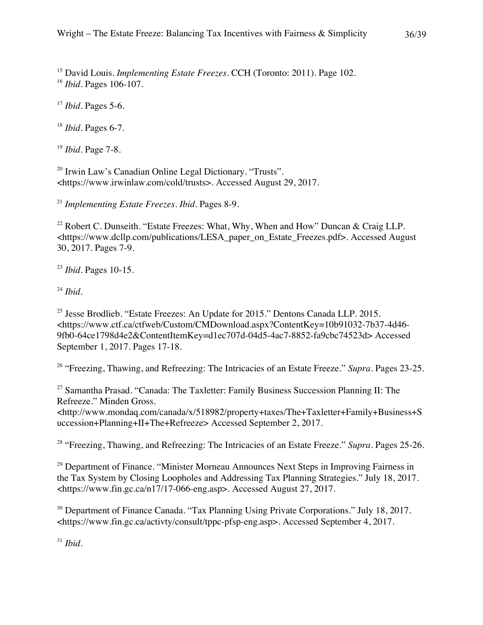<sup>15</sup> David Louis. *Implementing Estate Freezes*. CCH (Toronto: 2011). Page 102. <sup>16</sup> *Ibid*. Pages 106-107.

<sup>17</sup> *Ibid*. Pages 5-6.

<sup>18</sup> *Ibid.* Pages 6-7.

<sup>19</sup> *Ibid*. Page 7-8.

<sup>20</sup> Irwin Law's Canadian Online Legal Dictionary. "Trusts". <https://www.irwinlaw.com/cold/trusts>. Accessed August 29, 2017.

<sup>21</sup> *Implementing Estate Freezes. Ibid.* Pages 8-9.

<sup>22</sup> Robert C. Dunseith. "Estate Freezes: What, Why, When and How" Duncan & Craig LLP. <https://www.dcllp.com/publications/LESA\_paper\_on\_Estate\_Freezes.pdf>. Accessed August 30, 2017. Pages 7-9.

<sup>23</sup> *Ibid.* Pages 10-15.

<sup>24</sup> *Ibid.*

<sup>25</sup> Jesse Brodlieb. "Estate Freezes: An Update for  $2015$ ." Dentons Canada LLP. 2015. <https://www.ctf.ca/ctfweb/Custom/CMDownload.aspx?ContentKey=10b91032-7b37-4d46- 9fb0-64ce1798d4e2&ContentItemKey=d1ec707d-04d5-4ac7-8852-fa9cbc74523d> Accessed September 1, 2017. Pages 17-18.

<sup>26</sup> "Freezing, Thawing, and Refreezing: The Intricacies of an Estate Freeze." *Supra*. Pages 23-25.

<sup>27</sup> Samantha Prasad. "Canada: The Taxletter: Family Business Succession Planning II: The Refreeze." Minden Gross.

<http://www.mondaq.com/canada/x/518982/property+taxes/The+Taxletter+Family+Business+S uccession+Planning+II+The+Refreeze> Accessed September 2, 2017.

<sup>28</sup> "Freezing, Thawing, and Refreezing: The Intricacies of an Estate Freeze." *Supra.* Pages 25-26.

<sup>29</sup> Department of Finance. "Minister Morneau Announces Next Steps in Improving Fairness in the Tax System by Closing Loopholes and Addressing Tax Planning Strategies." July 18, 2017. <https://www.fin.gc.ca/n17/17-066-eng.asp>. Accessed August 27, 2017.

<sup>30</sup> Department of Finance Canada. "Tax Planning Using Private Corporations." July 18, 2017. <https://www.fin.gc.ca/activty/consult/tppc-pfsp-eng.asp>. Accessed September 4, 2017.

<sup>31</sup> *Ibid*.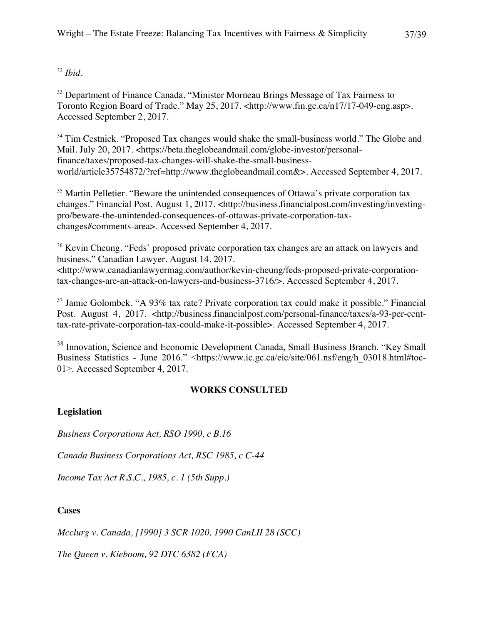## <sup>32</sup> *Ibid*.

<sup>33</sup> Department of Finance Canada. "Minister Morneau Brings Message of Tax Fairness to Toronto Region Board of Trade." May 25, 2017. <http://www.fin.gc.ca/n17/17-049-eng.asp>. Accessed September 2, 2017.

<sup>34</sup> Tim Cestnick. "Proposed Tax changes would shake the small-business world." The Globe and Mail. July 20, 2017. <https://beta.theglobeandmail.com/globe-investor/personalfinance/taxes/proposed-tax-changes-will-shake-the-small-businessworld/article35754872/?ref=http://www.theglobeandmail.com&>. Accessed September 4, 2017.

<sup>35</sup> Martin Pelletier. "Beware the unintended consequences of Ottawa's private corporation tax changes." Financial Post. August 1, 2017. <http://business.financialpost.com/investing/investingpro/beware-the-unintended-consequences-of-ottawas-private-corporation-taxchanges#comments-area>. Accessed September 4, 2017.

<sup>36</sup> Kevin Cheung. "Feds' proposed private corporation tax changes are an attack on lawyers and business." Canadian Lawyer. August 14, 2017. <http://www.canadianlawyermag.com/author/kevin-cheung/feds-proposed-private-corporationtax-changes-are-an-attack-on-lawyers-and-business-3716/>. Accessed September 4, 2017.

 $37$  Jamie Golombek. "A 93% tax rate? Private corporation tax could make it possible." Financial Post. August 4, 2017. <http://business.financialpost.com/personal-finance/taxes/a-93-per-centtax-rate-private-corporation-tax-could-make-it-possible>. Accessed September 4, 2017.

<sup>38</sup> Innovation, Science and Economic Development Canada, Small Business Branch. "Key Small Business Statistics - June 2016." <https://www.ic.gc.ca/eic/site/061.nsf/eng/h\_03018.html#toc-01>. Accessed September 4, 2017.

## **WORKS CONSULTED**

## **Legislation**

*Business Corporations Act, RSO 1990, c B.16*

*Canada Business Corporations Act, RSC 1985, c C-44*

*Income Tax Act R.S.C., 1985, c. 1 (5th Supp.)*

## **Cases**

*Mcclurg v. Canada, [1990] 3 SCR 1020, 1990 CanLII 28 (SCC)*

*The Queen v. Kieboom, 92 DTC 6382 (FCA)*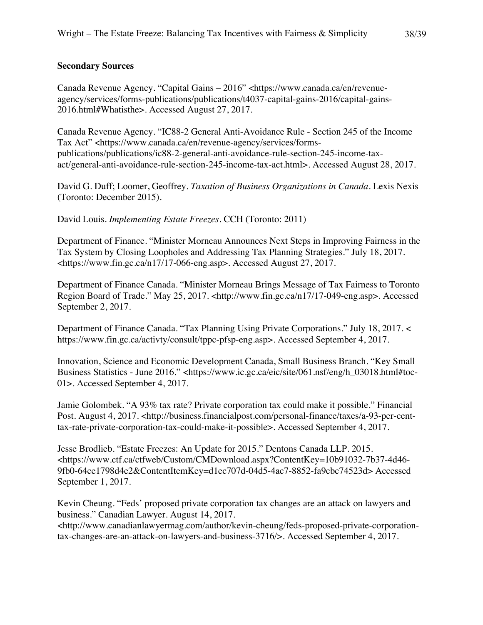## **Secondary Sources**

Canada Revenue Agency. "Capital Gains – 2016" <https://www.canada.ca/en/revenueagency/services/forms-publications/publications/t4037-capital-gains-2016/capital-gains-2016.html#Whatisthe>. Accessed August 27, 2017.

Canada Revenue Agency. "IC88-2 General Anti-Avoidance Rule - Section 245 of the Income Tax Act" <https://www.canada.ca/en/revenue-agency/services/formspublications/publications/ic88-2-general-anti-avoidance-rule-section-245-income-taxact/general-anti-avoidance-rule-section-245-income-tax-act.html>. Accessed August 28, 2017.

David G. Duff; Loomer, Geoffrey. *Taxation of Business Organizations in Canada*. Lexis Nexis (Toronto: December 2015).

David Louis. *Implementing Estate Freezes*. CCH (Toronto: 2011)

Department of Finance. "Minister Morneau Announces Next Steps in Improving Fairness in the Tax System by Closing Loopholes and Addressing Tax Planning Strategies." July 18, 2017. <https://www.fin.gc.ca/n17/17-066-eng.asp>. Accessed August 27, 2017.

Department of Finance Canada. "Minister Morneau Brings Message of Tax Fairness to Toronto Region Board of Trade." May 25, 2017. <http://www.fin.gc.ca/n17/17-049-eng.asp>. Accessed September 2, 2017.

Department of Finance Canada. "Tax Planning Using Private Corporations." July 18, 2017. < https://www.fin.gc.ca/activty/consult/tppc-pfsp-eng.asp>. Accessed September 4, 2017.

Innovation, Science and Economic Development Canada, Small Business Branch. "Key Small Business Statistics - June 2016." <https://www.ic.gc.ca/eic/site/061.nsf/eng/h\_03018.html#toc-01>. Accessed September 4, 2017.

Jamie Golombek. "A 93% tax rate? Private corporation tax could make it possible." Financial Post. August 4, 2017. <http://business.financialpost.com/personal-finance/taxes/a-93-per-centtax-rate-private-corporation-tax-could-make-it-possible>. Accessed September 4, 2017.

Jesse Brodlieb. "Estate Freezes: An Update for 2015." Dentons Canada LLP. 2015. <https://www.ctf.ca/ctfweb/Custom/CMDownload.aspx?ContentKey=10b91032-7b37-4d46- 9fb0-64ce1798d4e2&ContentItemKey=d1ec707d-04d5-4ac7-8852-fa9cbc74523d> Accessed September 1, 2017.

Kevin Cheung. "Feds' proposed private corporation tax changes are an attack on lawyers and business." Canadian Lawyer. August 14, 2017.

<http://www.canadianlawyermag.com/author/kevin-cheung/feds-proposed-private-corporationtax-changes-are-an-attack-on-lawyers-and-business-3716/>. Accessed September 4, 2017.